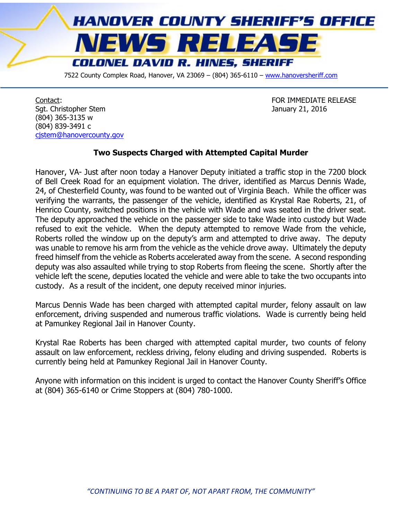

7522 County Complex Road, Hanover, VA 23069 - (804) 365-6110 - [www.hanoversheriff.com](http://www.hanoversheriff.com/)

Contact: FOR IMMEDIATE RELEASE Sgt. Christopher Stem January 21, 2016 (804) 365-3135 w (804) 839-3491 c cistem@hanovercounty.gov

## **Two Suspects Charged with Attempted Capital Murder**

Hanover, VA- Just after noon today a Hanover Deputy initiated a traffic stop in the 7200 block of Bell Creek Road for an equipment violation. The driver, identified as Marcus Dennis Wade, 24, of Chesterfield County, was found to be wanted out of Virginia Beach. While the officer was verifying the warrants, the passenger of the vehicle, identified as Krystal Rae Roberts, 21, of Henrico County, switched positions in the vehicle with Wade and was seated in the driver seat. The deputy approached the vehicle on the passenger side to take Wade into custody but Wade refused to exit the vehicle. When the deputy attempted to remove Wade from the vehicle, Roberts rolled the window up on the deputy's arm and attempted to drive away. The deputy was unable to remove his arm from the vehicle as the vehicle drove away. Ultimately the deputy freed himself from the vehicle as Roberts accelerated away from the scene. A second responding deputy was also assaulted while trying to stop Roberts from fleeing the scene. Shortly after the vehicle left the scene, deputies located the vehicle and were able to take the two occupants into custody. As a result of the incident, one deputy received minor injuries.

Marcus Dennis Wade has been charged with attempted capital murder, felony assault on law enforcement, driving suspended and numerous traffic violations. Wade is currently being held at Pamunkey Regional Jail in Hanover County.

Krystal Rae Roberts has been charged with attempted capital murder, two counts of felony assault on law enforcement, reckless driving, felony eluding and driving suspended. Roberts is currently being held at Pamunkey Regional Jail in Hanover County.

Anyone with information on this incident is urged to contact the Hanover County Sheriff's Office at (804) 365-6140 or Crime Stoppers at (804) 780-1000.